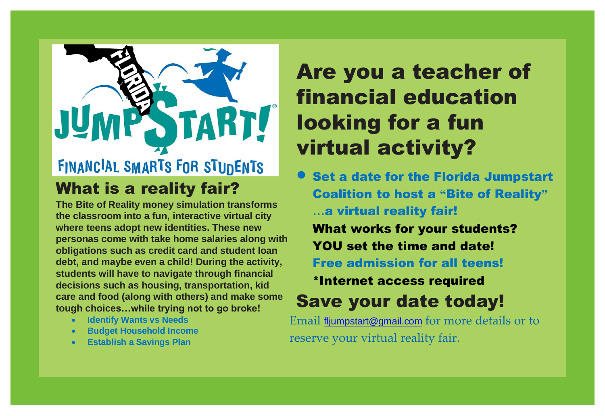

**The Bite of Reality money simulation transforms the classroom into a fun, interactive virtual city where teens adopt new identities. These new personas come with take home salaries along with obligations such as credit card and student loan debt, and maybe even a child! During the activity, students will have to navigate through financial decisions such as housing, transportation, kid care and food (along with others) and make some tough choices…while trying not to go broke!**

- **Identify Wants vs Needs**
- **Budget Household Income**
- **Establish a Savings Plan**

# Are you a teacher of financial education looking for a fun virtual activity?

Set a date for the Florida Jumpstart Coalition to host a **"**Bite of Reality**" …**a virtual reality fair! What works for your students? YOU set the time and date! Free admission for all teens! \*Internet access required

# Save your date today!

Email [fljumpstart@gmail.com](mailto:fljumpstart@gmail.com) for more details or to reserve your virtual reality fair.